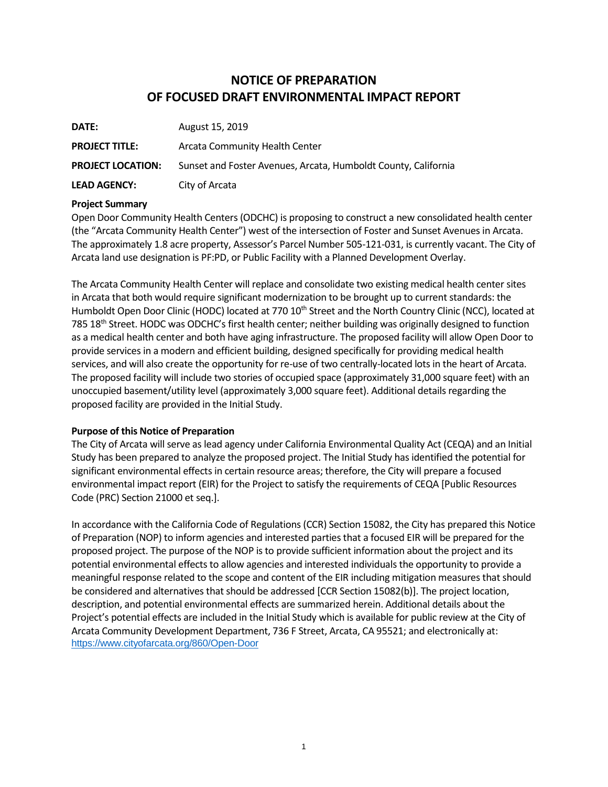# **NOTICE OF PREPARATION OF FOCUSED DRAFT ENVIRONMENTAL IMPACT REPORT**

| DATE:                    | August 15, 2019                                                |
|--------------------------|----------------------------------------------------------------|
| <b>PROJECT TITLE:</b>    | Arcata Community Health Center                                 |
| <b>PROJECT LOCATION:</b> | Sunset and Foster Avenues, Arcata, Humboldt County, California |
| <b>LEAD AGENCY:</b>      | City of Arcata                                                 |

## **Project Summary**

Open Door Community Health Centers (ODCHC) is proposing to construct a new consolidated health center (the "Arcata Community Health Center") west of the intersection of Foster and Sunset Avenues in Arcata. The approximately 1.8 acre property, Assessor's Parcel Number 505-121-031, is currently vacant. The City of Arcata land use designation is PF:PD, or Public Facility with a Planned Development Overlay.

The Arcata Community Health Center will replace and consolidate two existing medical health center sites in Arcata that both would require significant modernization to be brought up to current standards: the Humboldt Open Door Clinic (HODC) located at 770 10<sup>th</sup> Street and the North Country Clinic (NCC), located at 785 18<sup>th</sup> Street. HODC was ODCHC's first health center; neither building was originally designed to function as a medical health center and both have aging infrastructure. The proposed facility will allow Open Door to provide services in a modern and efficient building, designed specifically for providing medical health services, and will also create the opportunity for re-use of two centrally-located lots in the heart of Arcata. The proposed facility will include two stories of occupied space (approximately 31,000 square feet) with an unoccupied basement/utility level (approximately 3,000 square feet). Additional details regarding the proposed facility are provided in the Initial Study.

## **Purpose of this Notice of Preparation**

The City of Arcata will serve as lead agency under California Environmental Quality Act (CEQA) and an Initial Study has been prepared to analyze the proposed project. The Initial Study has identified the potential for significant environmental effects in certain resource areas; therefore, the City will prepare a focused environmental impact report (EIR) for the Project to satisfy the requirements of CEQA [Public Resources Code (PRC) Section 21000 et seq.].

In accordance with the California Code of Regulations (CCR) Section 15082, the City has prepared this Notice of Preparation (NOP) to inform agencies and interested parties that a focused EIR will be prepared for the proposed project. The purpose of the NOP is to provide sufficient information about the project and its potential environmental effects to allow agencies and interested individuals the opportunity to provide a meaningful response related to the scope and content of the EIR including mitigation measures that should be considered and alternatives that should be addressed [CCR Section 15082(b)]. The project location, description, and potential environmental effects are summarized herein. Additional details about the Project's potential effects are included in the Initial Study which is available for public review at the City of Arcata Community Development Department, 736 F Street, Arcata, CA 95521; and electronically at: <https://www.cityofarcata.org/860/Open-Door>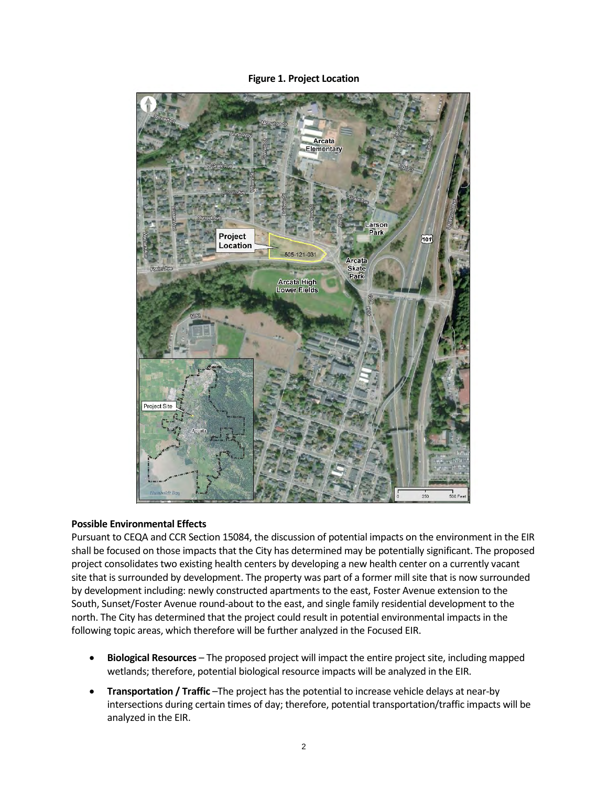**Figure 1. Project Location**



## **Possible Environmental Effects**

Pursuant to CEQA and CCR Section 15084, the discussion of potential impacts on the environment in the EIR shall be focused on those impacts that the City has determined may be potentially significant. The proposed project consolidates two existing health centers by developing a new health center on a currently vacant site that is surrounded by development. The property was part of a former mill site that is now surrounded by development including: newly constructed apartments to the east, Foster Avenue extension to the South, Sunset/Foster Avenue round-about to the east, and single family residential development to the north. The City has determined that the project could result in potential environmental impacts in the following topic areas, which therefore will be further analyzed in the Focused EIR.

- **Biological Resources** The proposed project will impact the entire project site, including mapped wetlands; therefore, potential biological resource impacts will be analyzed in the EIR.
- **Transportation / Traffic** –The project has the potential to increase vehicle delays at near-by intersections during certain times of day; therefore, potential transportation/traffic impacts will be analyzed in the EIR.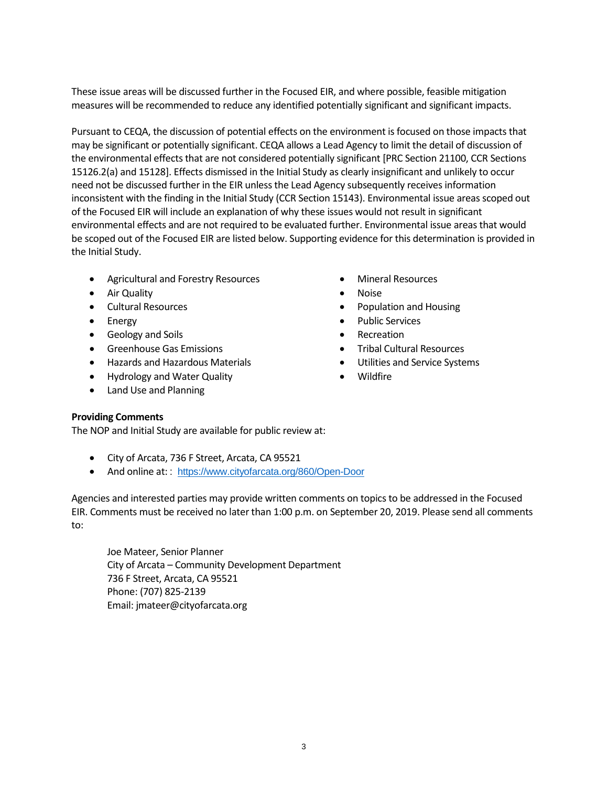These issue areas will be discussed further in the Focused EIR, and where possible, feasible mitigation measures will be recommended to reduce any identified potentially significant and significant impacts.

Pursuant to CEQA, the discussion of potential effects on the environment is focused on those impacts that may be significant or potentially significant. CEQA allows a Lead Agency to limit the detail of discussion of the environmental effects that are not considered potentially significant [PRC Section 21100, CCR Sections 15126.2(a) and 15128]. Effects dismissed in the Initial Study as clearly insignificant and unlikely to occur need not be discussed further in the EIR unless the Lead Agency subsequently receives information inconsistent with the finding in the Initial Study (CCR Section 15143). Environmental issue areas scoped out of the Focused EIR will include an explanation of why these issues would not result in significant environmental effects and are not required to be evaluated further. Environmental issue areas that would be scoped out of the Focused EIR are listed below. Supporting evidence for this determination is provided in the Initial Study.

- Agricultural and Forestry Resources
- Air Quality
- Cultural Resources
- Energy
- Geology and Soils
- Greenhouse Gas Emissions
- Hazards and Hazardous Materials
- Hydrology and Water Quality
- Land Use and Planning
- Mineral Resources
- Noise
- Population and Housing
- Public Services
- **Recreation**
- Tribal Cultural Resources
- Utilities and Service Systems
- Wildfire

## **Providing Comments**

The NOP and Initial Study are available for public review at:

- City of Arcata, 736 F Street, Arcata, CA 95521
- And online at:: <https://www.cityofarcata.org/860/Open-Door>

Agencies and interested parties may provide written comments on topics to be addressed in the Focused EIR. Comments must be received no later than 1:00 p.m. on September 20, 2019. Please send all comments to:

Joe Mateer, Senior Planner City of Arcata – Community Development Department 736 F Street, Arcata, CA 95521 Phone: (707) 825-2139 Email: jmateer@cityofarcata.org